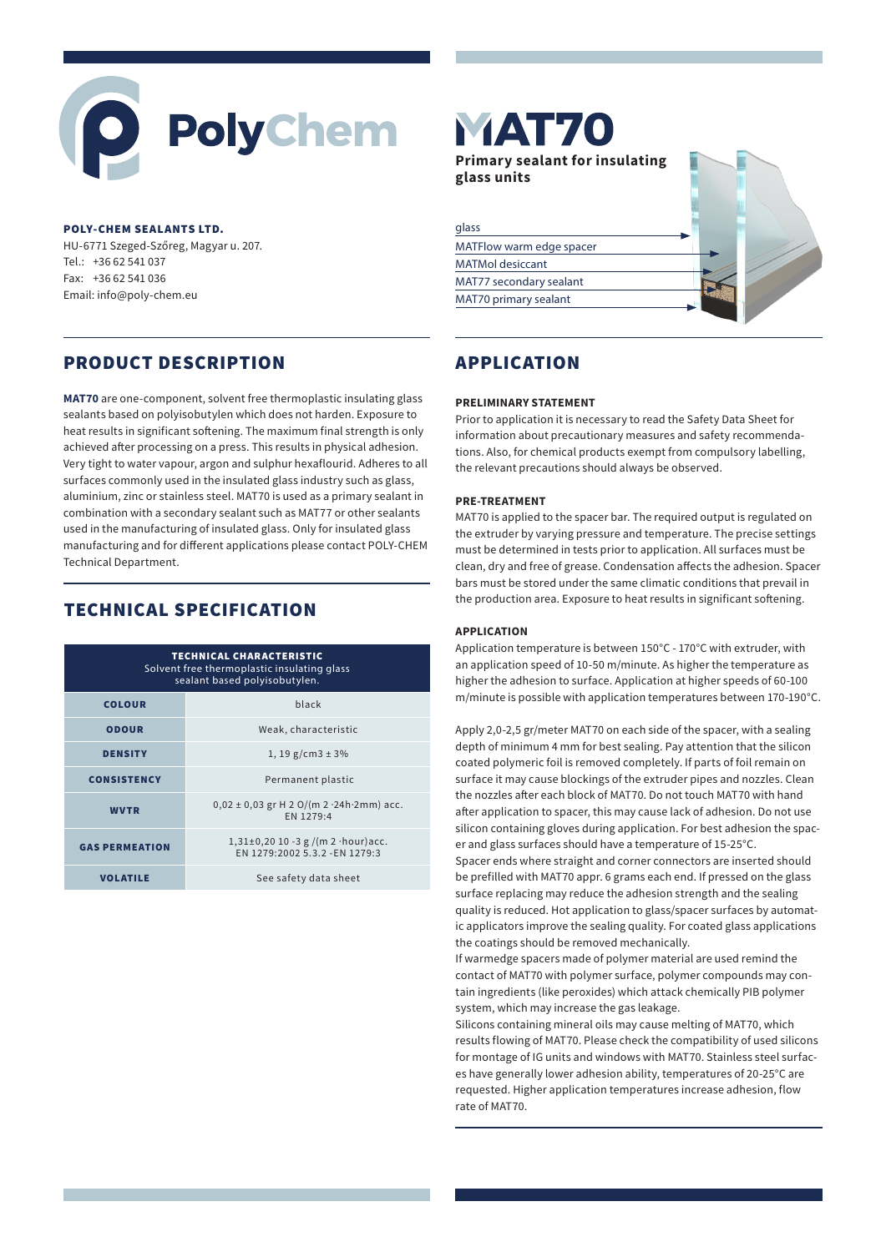# PolyChem

### POLY-CHEM SEALANTS LTD.

HU-6771 Szeged-Szőreg, Magyar u. 207. Tel.: +36 62 541 037 Fax: +36 62 541 036 Email: info@poly-chem.eu

# PRODUCT DESCRIPTION

**MAT70** are one-component, solvent free thermoplastic insulating glass sealants based on polyisobutylen which does not harden. Exposure to heat results in significant softening. The maximum final strength is only achieved after processing on a press. This results in physical adhesion. Very tight to water vapour, argon and sulphur hexaflourid. Adheres to all surfaces commonly used in the insulated glass industry such as glass, aluminium, zinc or stainless steel. MAT70 is used as a primary sealant in combination with a secondary sealant such as MAT77 or other sealants used in the manufacturing of insulated glass. Only for insulated glass manufacturing and for different applications please contact POLY-CHEM Technical Department.

# TECHNICAL SPECIFICATION

| <b>TECHNICAL CHARACTERISTIC</b><br>Solvent free thermoplastic insulating glass<br>sealant based polyisobutylen. |                                                                            |  |
|-----------------------------------------------------------------------------------------------------------------|----------------------------------------------------------------------------|--|
| <b>COLOUR</b>                                                                                                   | black                                                                      |  |
| <b>ODOUR</b>                                                                                                    | Weak, characteristic                                                       |  |
| <b>DENSITY</b>                                                                                                  | 1, 19 g/cm3 $\pm$ 3%                                                       |  |
| <b>CONSISTENCY</b>                                                                                              | Permanent plastic                                                          |  |
| <b>WVTR</b>                                                                                                     | $0,02 \pm 0,03$ gr H 2 O/(m 2 $\cdot$ 24h $\cdot$ 2mm) acc.<br>EN 1279:4   |  |
| <b>GAS PERMEATION</b>                                                                                           | $1,31\pm0,20$ 10 -3 g /(m 2 · hour) acc.<br>EN 1279:2002 5.3.2 - EN 1279:3 |  |
| <b>VOLATILE</b>                                                                                                 | See safety data sheet                                                      |  |

**MAT70 Primary sealant for insulating glass units** glassMATFlow warm edge spacer MATMol desiccant MAT77 secondary sealant MAT70 primary sealant

# APPLICATION

### **PRELIMINARY STATEMENT**

Prior to application it is necessary to read the Safety Data Sheet for information about precautionary measures and safety recommendations. Also, for chemical products exempt from compulsory labelling, the relevant precautions should always be observed.

## **PRE-TREATMENT**

MAT70 is applied to the spacer bar. The required output is regulated on the extruder by varying pressure and temperature. The precise settings must be determined in tests prior to application. All surfaces must be clean, dry and free of grease. Condensation affects the adhesion. Spacer bars must be stored under the same climatic conditions that prevail in the production area. Exposure to heat results in significant softening.

### **APPLICATION**

Application temperature is between 150°C - 170°C with extruder, with an application speed of 10-50 m/minute. As higher the temperature as higher the adhesion to surface. Application at higher speeds of 60-100 m/minute is possible with application temperatures between 170-190°C.

Apply 2,0-2,5 gr/meter MAT70 on each side of the spacer, with a sealing depth of minimum 4 mm for best sealing. Pay attention that the silicon coated polymeric foil is removed completely. If parts of foil remain on surface it may cause blockings of the extruder pipes and nozzles. Clean the nozzles after each block of MAT70. Do not touch MAT70 with hand after application to spacer, this may cause lack of adhesion. Do not use silicon containing gloves during application. For best adhesion the spacer and glass surfaces should have a temperature of 15-25°C.

Spacer ends where straight and corner connectors are inserted should be prefilled with MAT70 appr. 6 grams each end. If pressed on the glass surface replacing may reduce the adhesion strength and the sealing quality is reduced. Hot application to glass/spacer surfaces by automatic applicators improve the sealing quality. For coated glass applications the coatings should be removed mechanically.

If warmedge spacers made of polymer material are used remind the contact of MAT70 with polymer surface, polymer compounds may contain ingredients (like peroxides) which attack chemically PIB polymer system, which may increase the gas leakage.

Silicons containing mineral oils may cause melting of MAT70, which results flowing of MAT70. Please check the compatibility of used silicons for montage of IG units and windows with MAT70. Stainless steel surfaces have generally lower adhesion ability, temperatures of 20-25°C are requested. Higher application temperatures increase adhesion, flow rate of MAT70.